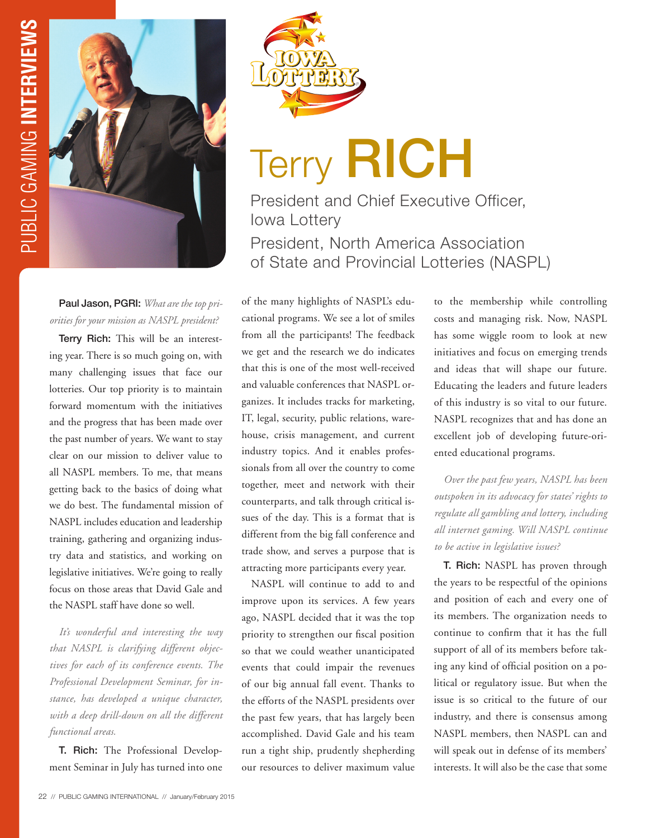

## Terry RICH

President and Chief Executive Officer, Iowa Lottery President, North America Association of State and Provincial Lotteries (NASPL)

Paul Jason, PGRI: *What are the top priorities for your mission as NASPL president?*

Terry Rich: This will be an interesting year. There is so much going on, with many challenging issues that face our lotteries. Our top priority is to maintain forward momentum with the initiatives and the progress that has been made over the past number of years. We want to stay clear on our mission to deliver value to all NASPL members. To me, that means getting back to the basics of doing what we do best. The fundamental mission of NASPL includes education and leadership training, gathering and organizing industry data and statistics, and working on legislative initiatives. We're going to really focus on those areas that David Gale and the NASPL staff have done so well.

*It's wonderful and interesting the way that NASPL is clarifying different objectives for each of its conference events. The Professional Development Seminar, for instance, has developed a unique character, with a deep drill-down on all the different functional areas.* 

T. Rich: The Professional Development Seminar in July has turned into one of the many highlights of NASPL's educational programs. We see a lot of smiles from all the participants! The feedback we get and the research we do indicates that this is one of the most well-received and valuable conferences that NASPL organizes. It includes tracks for marketing, IT, legal, security, public relations, warehouse, crisis management, and current industry topics. And it enables professionals from all over the country to come together, meet and network with their counterparts, and talk through critical issues of the day. This is a format that is different from the big fall conference and trade show, and serves a purpose that is attracting more participants every year.

NASPL will continue to add to and improve upon its services. A few years ago, NASPL decided that it was the top priority to strengthen our fiscal position so that we could weather unanticipated events that could impair the revenues of our big annual fall event. Thanks to the efforts of the NASPL presidents over the past few years, that has largely been accomplished. David Gale and his team run a tight ship, prudently shepherding our resources to deliver maximum value

to the membership while controlling costs and managing risk. Now, NASPL has some wiggle room to look at new initiatives and focus on emerging trends and ideas that will shape our future. Educating the leaders and future leaders of this industry is so vital to our future. NASPL recognizes that and has done an excellent job of developing future-oriented educational programs.

*Over the past few years, NASPL has been outspoken in its advocacy for states' rights to regulate all gambling and lottery, including all internet gaming. Will NASPL continue to be active in legislative issues?* 

T. Rich: NASPL has proven through the years to be respectful of the opinions and position of each and every one of its members. The organization needs to continue to confirm that it has the full support of all of its members before taking any kind of official position on a political or regulatory issue. But when the issue is so critical to the future of our industry, and there is consensus among NASPL members, then NASPL can and will speak out in defense of its members' interests. It will also be the case that some